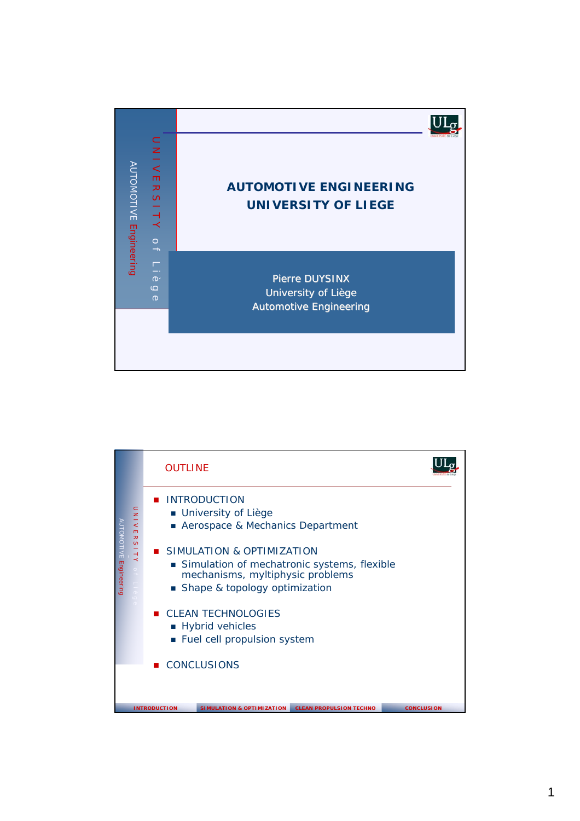

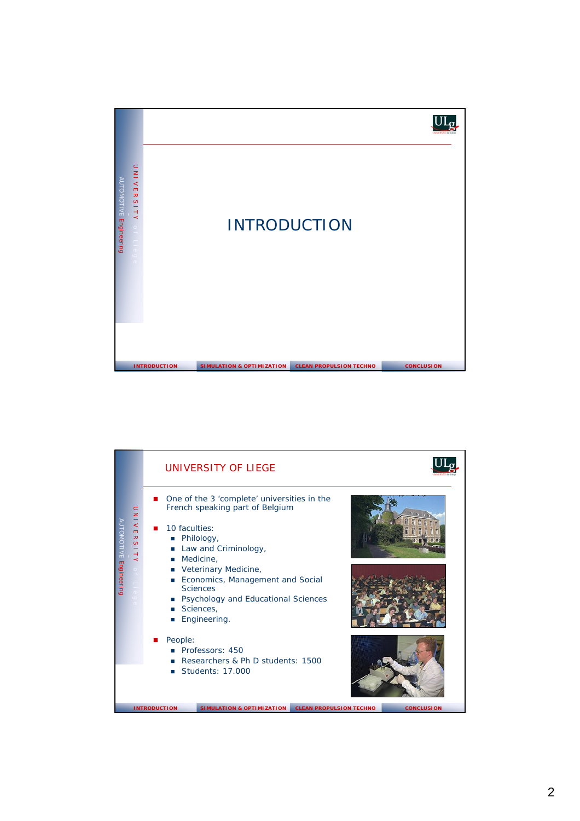

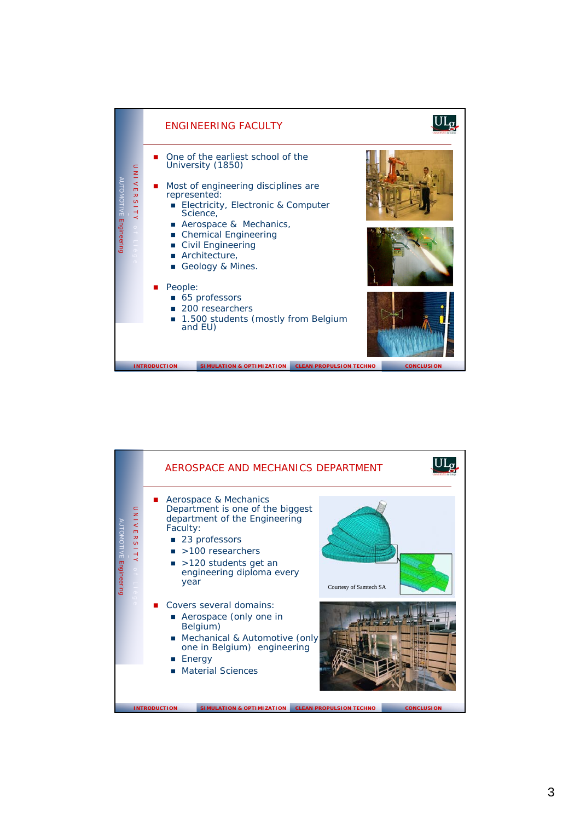

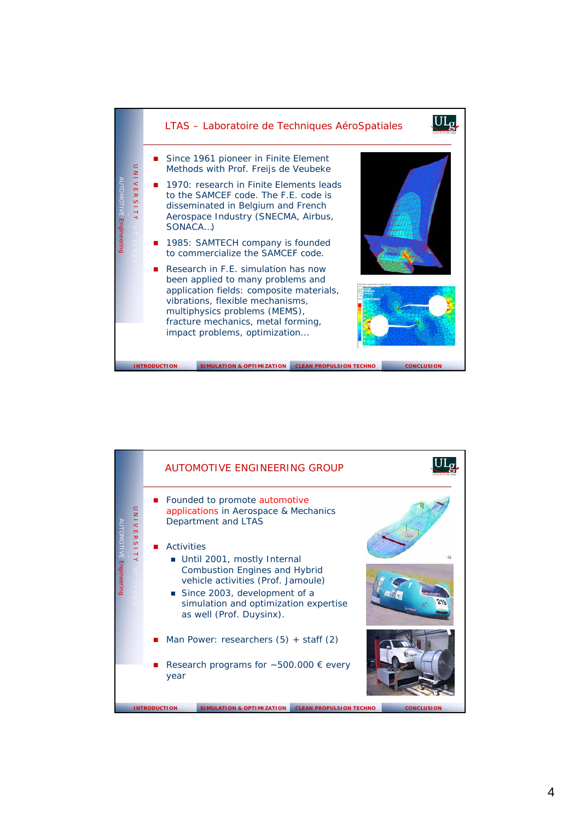

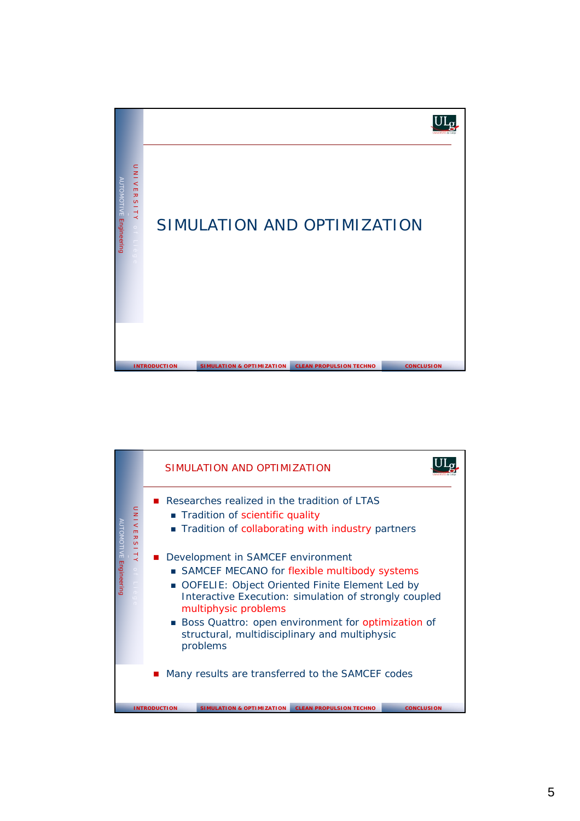

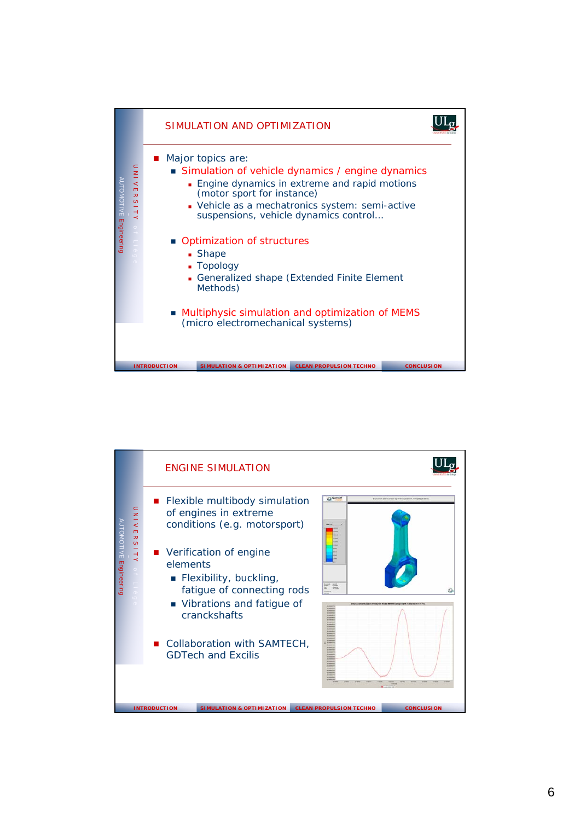

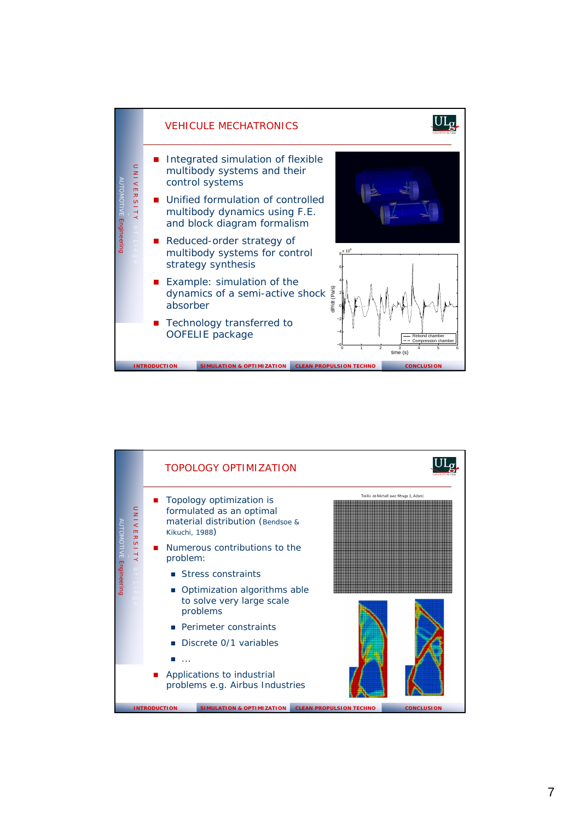

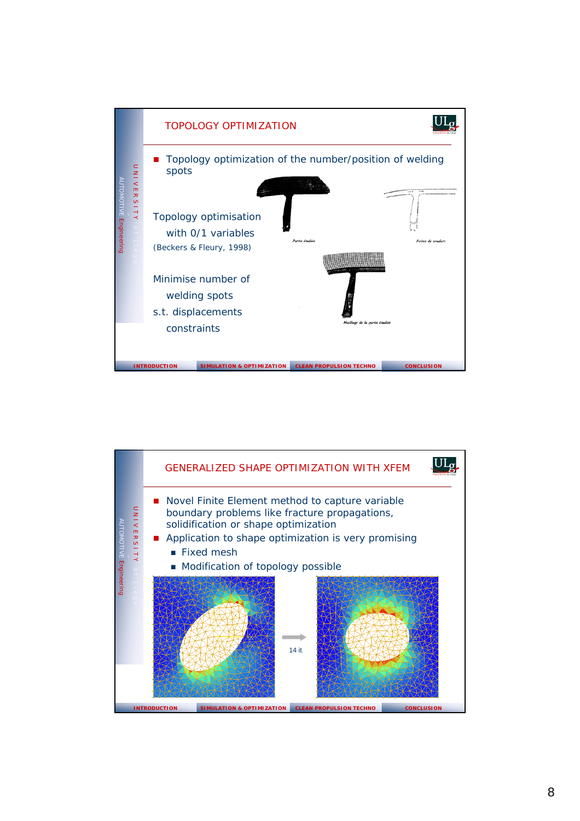

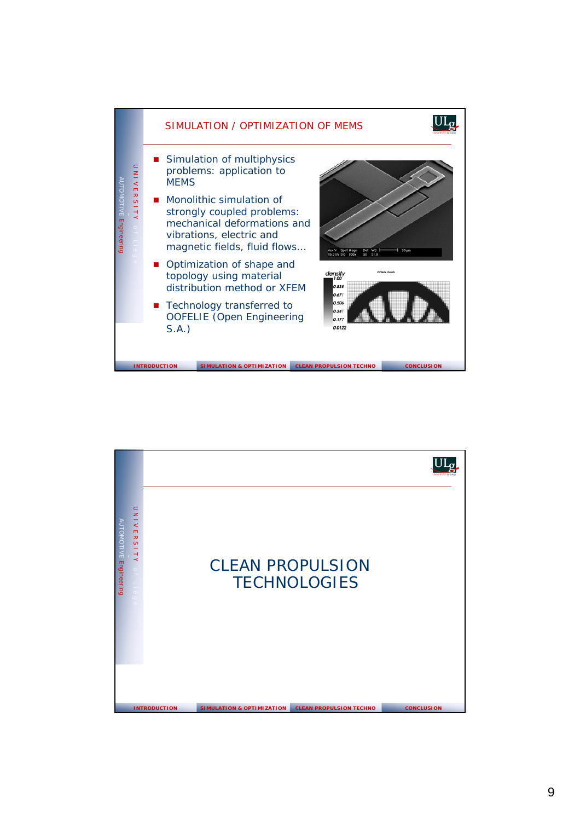

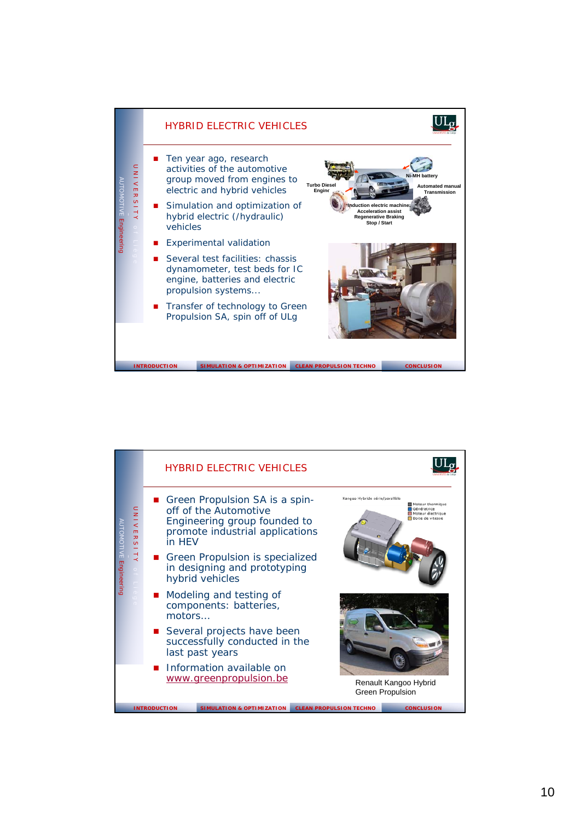

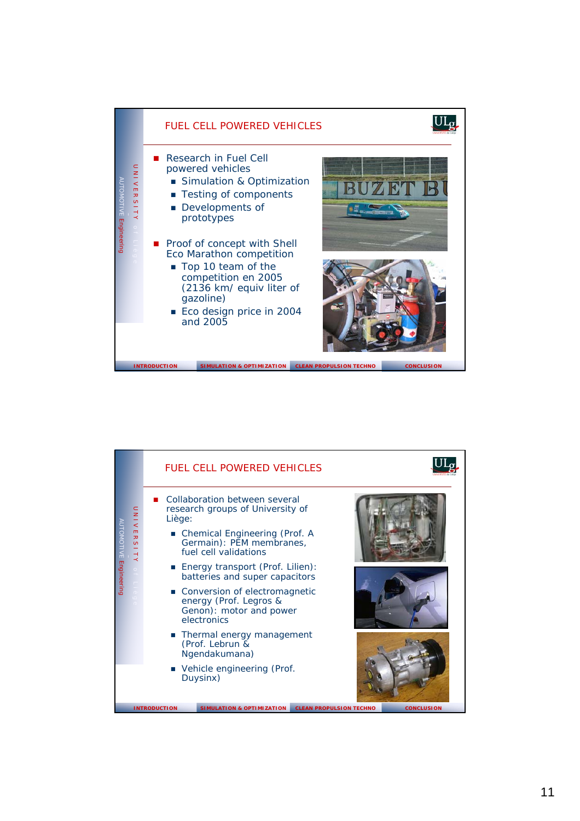

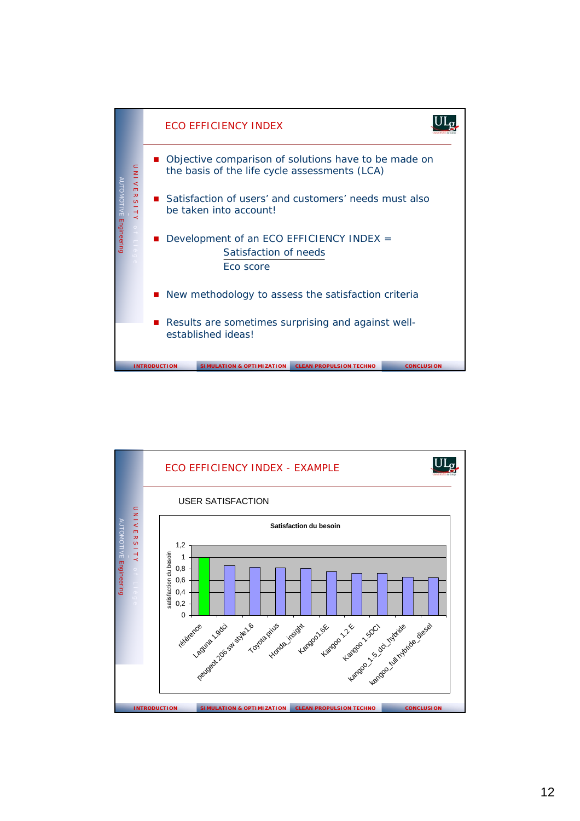

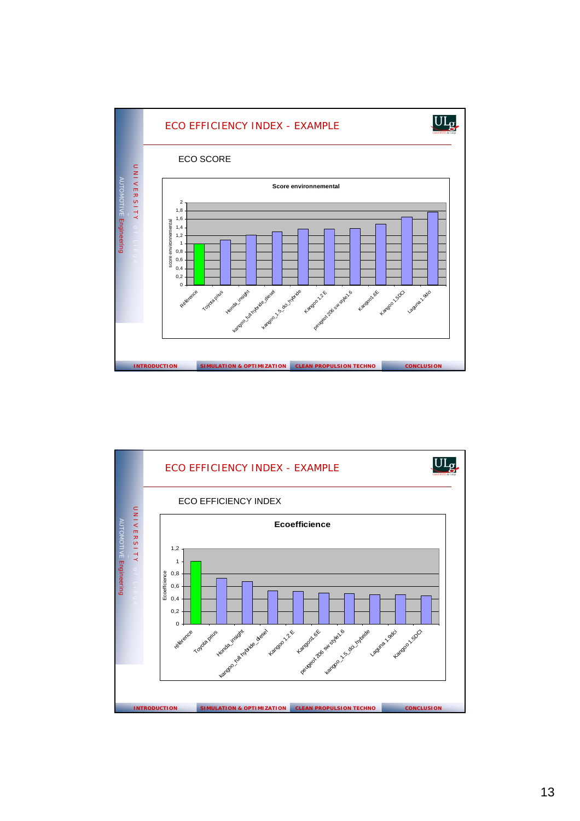

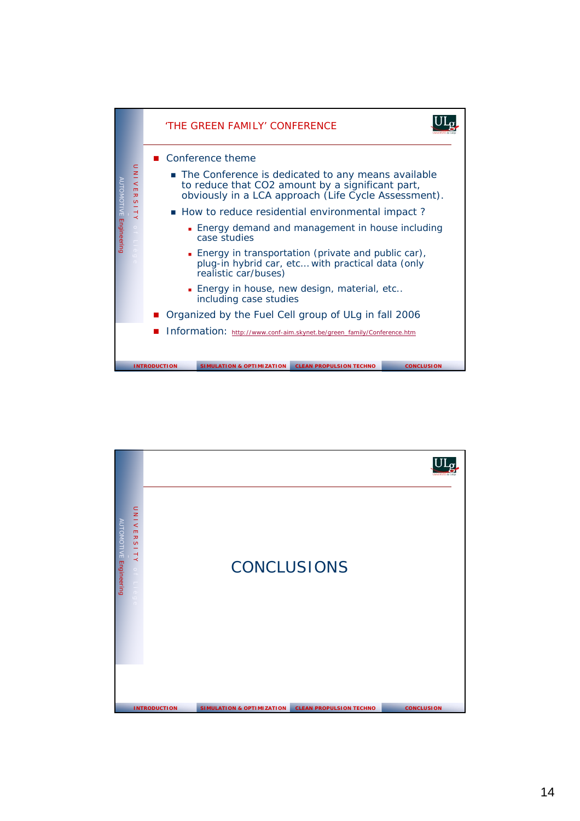